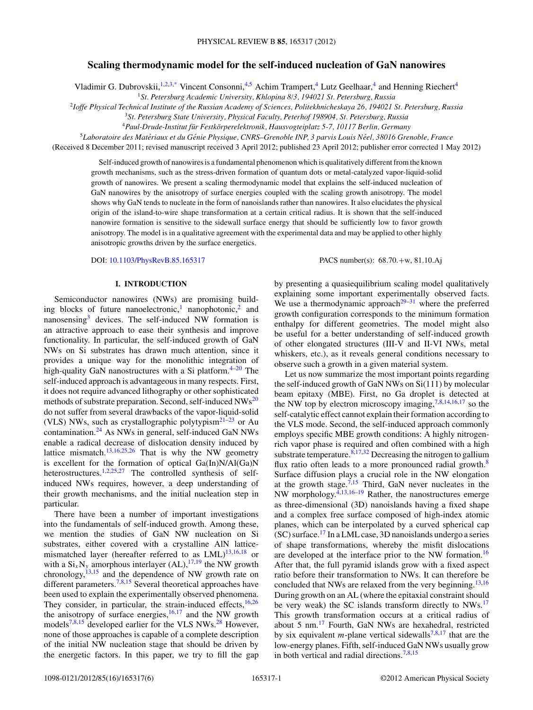# **Scaling thermodynamic model for the self-induced nucleation of GaN nanowires**

Vladimir G. Dubrovskii,<sup>1,2,3[,\\*](#page-4-0)</sup> Vincent Consonni,<sup>4,5</sup> Achim Trampert,<sup>4</sup> Lutz Geelhaar,<sup>4</sup> and Henning Riechert<sup>4</sup>

<sup>1</sup>*St. Petersburg Academic University, Khlopina 8/3, 194021 St. Petersburg, Russia*

<sup>2</sup>*Ioffe Physical Technical Institute of the Russian Academy of Sciences, Politekhnicheskaya 26, 194021 St. Petersburg, Russia*

<sup>3</sup>*St. Petersburg State University, Physical Faculty, Peterhof 198904, St. Petersburg, Russia*

<sup>4</sup>*Paul-Drude-Institut fur Festk ¨ orperelektronik, Hausvogteiplatz 5-7, 10117 Berlin, Germany ¨*

<sup>5</sup>*Laboratoire des Materiaux et du G ´ enie Physique, CNRS–Grenoble INP, 3 parvis Louis N ´ eel, 38016 Grenoble, France ´*

(Received 8 December 2011; revised manuscript received 3 April 2012; published 23 April 2012; publisher error corrected 1 May 2012)

Self-induced growth of nanowires is a fundamental phenomenon which is qualitatively different from the known growth mechanisms, such as the stress-driven formation of quantum dots or metal-catalyzed vapor-liquid-solid growth of nanowires. We present a scaling thermodynamic model that explains the self-induced nucleation of GaN nanowires by the anisotropy of surface energies coupled with the scaling growth anisotropy. The model shows why GaN tends to nucleate in the form of nanoislands rather than nanowires. It also elucidates the physical origin of the island-to-wire shape transformation at a certain critical radius. It is shown that the self-induced nanowire formation is sensitive to the sidewall surface energy that should be sufficiently low to favor growth anisotropy. The model is in a qualitative agreement with the experimental data and may be applied to other highly anisotropic growths driven by the surface energetics.

DOI: [10.1103/PhysRevB.85.165317](http://dx.doi.org/10.1103/PhysRevB.85.165317) PACS number(s): 68*.*70*.*+w, 81*.*10*.*Aj

# **I. INTRODUCTION**

Semiconductor nanowires (NWs) are promising build-ing blocks of future nanoelectronic,<sup>[1](#page-4-0)</sup> nanophotonic,<sup>2</sup> and nanosensing<sup>3</sup> devices. The self-induced NW formation is an attractive approach to ease their synthesis and improve functionality. In particular, the self-induced growth of GaN NWs on Si substrates has drawn much attention, since it provides a unique way for the monolithic integration of high-quality GaN nanostructures with a Si platform. $4-20$  The self-induced approach is advantageous in many respects. First, it does not require advanced lithography or other sophisticated methods of substrate preparation. Second, self-induced NWs<sup>[20](#page-4-0)</sup> do not suffer from several drawbacks of the vapor-liquid-solid (VLS) NWs, such as crystallographic polytypism<sup>21–23</sup> or Au contamination.[24](#page-5-0) As NWs in general, self-induced GaN NWs enable a radical decrease of dislocation density induced by lattice mismatch.<sup>[13,16](#page-4-0)[,25,26](#page-5-0)</sup> That is why the NW geometry is excellent for the formation of optical Ga(In)N/Al(Ga)N heterostructures.<sup>[1,2,](#page-4-0)[25,27](#page-5-0)</sup> The controlled synthesis of selfinduced NWs requires, however, a deep understanding of their growth mechanisms, and the initial nucleation step in particular.

There have been a number of important investigations into the fundamentals of self-induced growth. Among these, we mention the studies of GaN NW nucleation on Si substrates, either covered with a crystalline AlN latticemismatched layer (hereafter referred to as  $LML$ )<sup>13,16,18</sup> or with a  $Si_xN_y$  amorphous interlayer (AL),<sup>[17,19](#page-4-0)</sup> the NW growth chronology, $^{13,15}$  $^{13,15}$  $^{13,15}$  and the dependence of NW growth rate on different parameters.<sup>7,8,15</sup> Several theoretical approaches have been used to explain the experimentally observed phenomena. They consider, in particular, the strain-induced effects, $16,26$  $16,26$ the anisotropy of surface energies, $16,17$  and the NW growth models<sup>[7,8,15](#page-4-0)</sup> developed earlier for the VLS NWs.<sup>[28](#page-5-0)</sup> However, none of those approaches is capable of a complete description of the initial NW nucleation stage that should be driven by the energetic factors. In this paper, we try to fill the gap by presenting a quasiequilibrium scaling model qualitatively explaining some important experimentally observed facts. We use a thermodynamic approach<sup>29–31</sup> where the preferred growth configuration corresponds to the minimum formation enthalpy for different geometries. The model might also be useful for a better understanding of self-induced growth of other elongated structures (III-V and II-VI NWs, metal whiskers, etc.), as it reveals general conditions necessary to observe such a growth in a given material system.

Let us now summarize the most important points regarding the self-induced growth of GaN NWs on Si(111) by molecular beam epitaxy (MBE). First, no Ga droplet is detected at the NW top by electron microscopy imaging,[7,8,14,16,17](#page-4-0) so the self-catalytic effect cannot explain their formation according to the VLS mode. Second, the self-induced approach commonly employs specific MBE growth conditions: A highly nitrogenrich vapor phase is required and often combined with a high substrate temperature. $8,17,32$  $8,17,32$  Decreasing the nitrogen to gallium flux ratio often leads to a more pronounced radial growth.<sup>[8](#page-4-0)</sup> Surface diffusion plays a crucial role in the NW elongation at the growth stage.<sup>7,15</sup> Third, GaN never nucleates in the NW morphology. $4,13,16-19$  Rather, the nanostructures emerge as three-dimensional (3D) nanoislands having a fixed shape and a complex free surface composed of high-index atomic planes, which can be interpolated by a curved spherical cap (SC) surface[.17](#page-4-0) In a LML case, 3D nanoislands undergo a series of shape transformations, whereby the misfit dislocations are developed at the interface prior to the NW formation.<sup>[16](#page-4-0)</sup> After that, the full pyramid islands grow with a fixed aspect ratio before their transformation to NWs. It can therefore be concluded that NWs are relaxed from the very beginning.<sup>[13,16](#page-4-0)</sup> During growth on an AL (where the epitaxial constraint should be very weak) the SC islands transform directly to NWs.<sup>17</sup> This growth transformation occurs at a critical radius of about 5 nm[.17](#page-4-0) Fourth, GaN NWs are hexahedral, restricted by six equivalent *m*-plane vertical sidewalls<sup>[7,8,17](#page-4-0)</sup> that are the low-energy planes. Fifth, self-induced GaN NWs usually grow in both vertical and radial directions[.7,8,15](#page-4-0)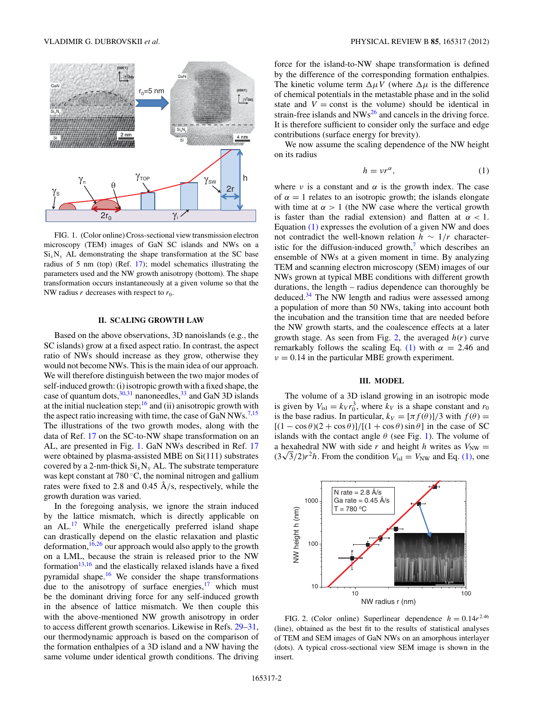<span id="page-1-0"></span>

FIG. 1. (Color online) Cross-sectional view transmission electron microscopy (TEM) images of GaN SC islands and NWs on a  $Si<sub>x</sub>N<sub>y</sub>$  AL demonstrating the shape transformation at the SC base radius of 5 nm (top) (Ref. [17\)](#page-4-0); model schematics illustrating the parameters used and the NW growth anisotropy (bottom). The shape transformation occurs instantaneously at a given volume so that the NW radius  $r$  decreases with respect to  $r_0$ .

# **II. SCALING GROWTH LAW**

Based on the above observations, 3D nanoislands (e.g., the SC islands) grow at a fixed aspect ratio. In contrast, the aspect ratio of NWs should increase as they grow, otherwise they would not become NWs. This is the main idea of our approach. We will therefore distinguish between the two major modes of self-induced growth: (i) isotropic growth with a fixed shape, the case of quantum dots,  $30,31$  nanoneedles,  $33$  and GaN 3D islands at the initial nucleation step;<sup>[16](#page-4-0)</sup> and (ii) anisotropic growth with the aspect ratio increasing with time, the case of GaN NWs.<sup>[7,15](#page-4-0)</sup> The illustrations of the two growth modes, along with the data of Ref. [17](#page-4-0) on the SC-to-NW shape transformation on an AL, are presented in Fig. 1. GaN NWs described in Ref. [17](#page-4-0) were obtained by plasma-assisted MBE on Si(111) substrates covered by a 2-nm-thick  $Si_xN_y$  AL. The substrate temperature was kept constant at 780 ◦C, the nominal nitrogen and gallium rates were fixed to 2.8 and 0.45 Å/s, respectively, while the growth duration was varied.

In the foregoing analysis, we ignore the strain induced by the lattice mismatch, which is directly applicable on an AL.<sup>[17](#page-4-0)</sup> While the energetically preferred island shape can drastically depend on the elastic relaxation and plastic deformation, $16,26$  $16,26$  our approach would also apply to the growth on a LML, because the strain is released prior to the NW formation $13,16$  and the elastically relaxed islands have a fixed pyramidal shape.<sup>[16](#page-4-0)</sup> We consider the shape transformations due to the anisotropy of surface energies, $17$  which must be the dominant driving force for any self-induced growth in the absence of lattice mismatch. We then couple this with the above-mentioned NW growth anisotropy in order to access different growth scenarios. Likewise in Refs. [29–31,](#page-5-0) our thermodynamic approach is based on the comparison of the formation enthalpies of a 3D island and a NW having the same volume under identical growth conditions. The driving force for the island-to-NW shape transformation is defined by the difference of the corresponding formation enthalpies. The kinetic volume term  $\Delta \mu V$  (where  $\Delta \mu$  is the difference of chemical potentials in the metastable phase and in the solid state and  $V = \text{const}$  is the volume) should be identical in strain-free islands and  $NWs^{26}$  $NWs^{26}$  $NWs^{26}$  and cancels in the driving force. It is therefore sufficient to consider only the surface and edge contributions (surface energy for brevity).

We now assume the scaling dependence of the NW height on its radius

$$
h = v r^{\alpha}, \tag{1}
$$

where  $\nu$  is a constant and  $\alpha$  is the growth index. The case of  $\alpha = 1$  relates to an isotropic growth; the islands elongate with time at  $\alpha > 1$  (the NW case where the vertical growth is faster than the radial extension) and flatten at  $\alpha < 1$ . Equation (1) expresses the evolution of a given NW and does not contradict the well-known relation *h* ∼ 1*/r* characteristic for the diffusion-induced growth, $\frac{7}{1}$  $\frac{7}{1}$  $\frac{7}{1}$  which describes an ensemble of NWs at a given moment in time. By analyzing TEM and scanning electron microscopy (SEM) images of our NWs grown at typical MBE conditions with different growth durations, the length – radius dependence can thoroughly be deduced[.34](#page-5-0) The NW length and radius were assessed among a population of more than 50 NWs, taking into account both the incubation and the transition time that are needed before the NW growth starts, and the coalescence effects at a later growth stage. As seen from Fig. 2, the averaged *h*(*r*) curve remarkably follows the scaling Eq. (1) with  $\alpha = 2.46$  and  $\nu = 0.14$  in the particular MBE growth experiment.

#### **III. MODEL**

The volume of a 3D island growing in an isotropic mode is given by  $V_{\text{isl}} = k_V r_0^3$ , where  $k_V$  is a shape constant and  $r_0$ is the base radius. In particular,  $k_V = [\pi f(\theta)]/3$  with  $f(\theta) =$  $[(1 - \cos \theta)(2 + \cos \theta)] / [(1 + \cos \theta) \sin \theta]$  in the case of SC islands with the contact angle  $\theta$  (see Fig. 1). The volume of a hexahedral NW with side *r* and height *h* writes as  $V_{\text{NW}} =$  $(3\sqrt{3}/2)r^2h$ . From the condition  $V_{\text{isl}} = V_{\text{NW}}$  and Eq. (1), one



FIG. 2. (Color online) Superlinear dependence  $h = 0.14r^{2.46}$ (line), obtained as the best fit to the results of statistical analyses of TEM and SEM images of GaN NWs on an amorphous interlayer (dots). A typical cross-sectional view SEM image is shown in the insert.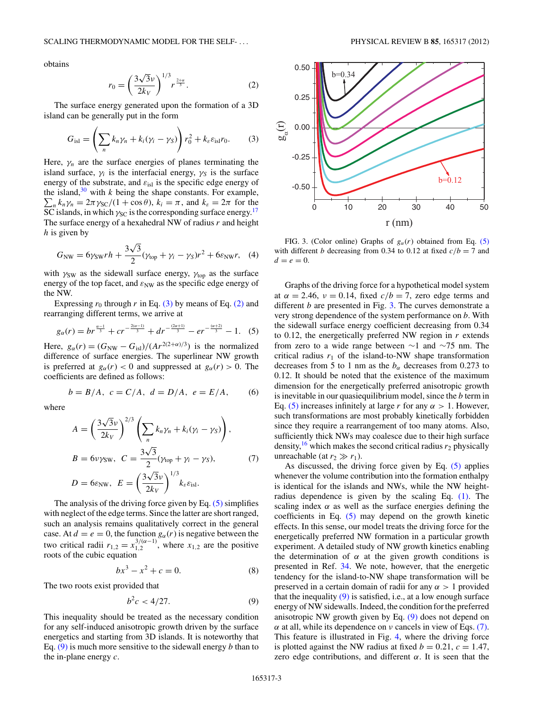<span id="page-2-0"></span>obtains

$$
r_0 = \left(\frac{3\sqrt{3}\nu}{2k_V}\right)^{1/3} r^{\frac{2+\alpha}{3}}.
$$
 (2)

The surface energy generated upon the formation of a 3D island can be generally put in the form

$$
G_{\rm isl} = \left(\sum_n k_n \gamma_n + k_i (\gamma_i - \gamma_S)\right) r_0^2 + k_{\varepsilon} \varepsilon_{\rm isl} r_0. \tag{3}
$$

Here,  $\gamma_n$  are the surface energies of planes terminating the island surface,  $\gamma_i$  is the interfacial energy,  $\gamma_s$  is the surface energy of the substrate, and *ε*isl is the specific edge energy of the island, $30$  with *k* being the shape constants. For example,  $\sum_{n} k_n \gamma_n = 2\pi \gamma_{\text{SC}}/(1 + \cos \theta), k_i = \pi$ , and  $k_{\varepsilon} = 2\pi$  for the SC islands, in which  $\gamma_{\rm SC}$  is the corresponding surface energy.<sup>[17](#page-4-0)</sup> The surface energy of a hexahedral NW of radius *r* and height *h* is given by

$$
G_{\text{NW}} = 6\gamma_{\text{SW}}rh + \frac{3\sqrt{3}}{2}(\gamma_{\text{top}} + \gamma_i - \gamma_{\text{S}})r^2 + 6\varepsilon_{\text{NW}}r, \quad (4)
$$

with  $\gamma_{SW}$  as the sidewall surface energy,  $\gamma_{top}$  as the surface energy of the top facet, and  $\varepsilon_{NW}$  as the specific edge energy of the NW.

Expressing  $r_0$  through  $r$  in Eq. (3) by means of Eq. (2) and rearranging different terms, we arrive at

$$
g_{\alpha}(r) = br^{\frac{\alpha-1}{3}} + cr^{-\frac{2(\alpha-1)}{3}} + dr^{-\frac{(2\alpha+1)}{3}} - er^{-\frac{(\alpha+2)}{3}} - 1.
$$
 (5)

Here,  $g_{\alpha}(r) = (G_{NW} - G_{isl})/(Ar^{2(2+\alpha)/3})$  is the normalized difference of surface energies. The superlinear NW growth is preferred at  $g_\alpha(r) < 0$  and suppressed at  $g_\alpha(r) > 0$ . The coefficients are defined as follows:

$$
b = B/A, \ c = C/A, \ d = D/A, \ e = E/A, \qquad (6)
$$

where

$$
A = \left(\frac{3\sqrt{3}\nu}{2k_V}\right)^{2/3} \left(\sum_n k_n \gamma_n + k_i (\gamma_i - \gamma_S)\right),
$$
  
\n
$$
B = 6\nu \gamma_{SW}, \ C = \frac{3\sqrt{3}}{2} (\gamma_{top} + \gamma_i - \gamma_S),
$$
  
\n
$$
D = 6\varepsilon_{NW}, \ E = \left(\frac{3\sqrt{3}\nu}{2k_V}\right)^{1/3} k_\varepsilon \varepsilon_{isl}.
$$
 (7)

The analysis of the driving force given by Eq. (5) simplifies with neglect of the edge terms. Since the latter are short ranged, such an analysis remains qualitatively correct in the general case. At  $d = e = 0$ , the function  $g_{\alpha}(r)$  is negative between the two critical radii  $r_{1,2} = x_{1,2}^{3/(\alpha-1)}$ , where  $x_{1,2}$  are the positive roots of the cubic equation

$$
bx^3 - x^2 + c = 0.\t\t(8)
$$

The two roots exist provided that

$$
b^2c < 4/27. \tag{9}
$$

This inequality should be treated as the necessary condition for any self-induced anisotropic growth driven by the surface energetics and starting from 3D islands. It is noteworthy that Eq. (9) is much more sensitive to the sidewall energy *b* than to the in-plane energy *c*.



FIG. 3. (Color online) Graphs of *gα*(*r*) obtained from Eq. (5) with different *b* decreasing from 0.34 to 0.12 at fixed  $c/b = 7$  and  $d = e = 0.$ 

Graphs of the driving force for a hypothetical model system at  $\alpha = 2.46$ ,  $\nu = 0.14$ , fixed  $c/b = 7$ , zero edge terms and different *b* are presented in Fig. 3. The curves demonstrate a very strong dependence of the system performance on *b*. With the sidewall surface energy coefficient decreasing from 0.34 to 0.12, the energetically preferred NW region in *r* extends from zero to a wide range between ∼1 and ∼75 nm. The critical radius  $r_1$  of the island-to-NW shape transformation decreases from 5 to 1 nm as the  $b_{\alpha}$  decreases from 0.273 to 0.12. It should be noted that the existence of the maximum dimension for the energetically preferred anisotropic growth is inevitable in our quasiequilibrium model, since the *b* term in Eq. (5) increases infinitely at large *r* for any  $\alpha > 1$ . However, such transformations are most probably kinetically forbidden since they require a rearrangement of too many atoms. Also, sufficiently thick NWs may coalesce due to their high surface density,<sup>16</sup> which makes the second critical radius  $r_2$  physically unreachable (at  $r_2 \gg r_1$ ).

As discussed, the driving force given by Eq. (5) applies whenever the volume contribution into the formation enthalpy is identical for the islands and NWs, while the NW heightradius dependence is given by the scaling Eq. [\(1\).](#page-1-0) The scaling index  $\alpha$  as well as the surface energies defining the coefficients in Eq. (5) may depend on the growth kinetic effects. In this sense, our model treats the driving force for the energetically preferred NW formation in a particular growth experiment. A detailed study of NW growth kinetics enabling the determination of  $\alpha$  at the given growth conditions is presented in Ref. [34.](#page-5-0) We note, however, that the energetic tendency for the island-to-NW shape transformation will be preserved in a certain domain of radii for any  $\alpha > 1$  provided that the inequality  $(9)$  is satisfied, i.e., at a low enough surface energy of NW sidewalls. Indeed, the condition for the preferred anisotropic NW growth given by Eq. (9) does not depend on *α* at all, while its dependence on *ν* cancels in view of Eqs. (7). This feature is illustrated in Fig. [4,](#page-3-0) where the driving force is plotted against the NW radius at fixed  $b = 0.21$ ,  $c = 1.47$ , zero edge contributions, and different  $\alpha$ . It is seen that the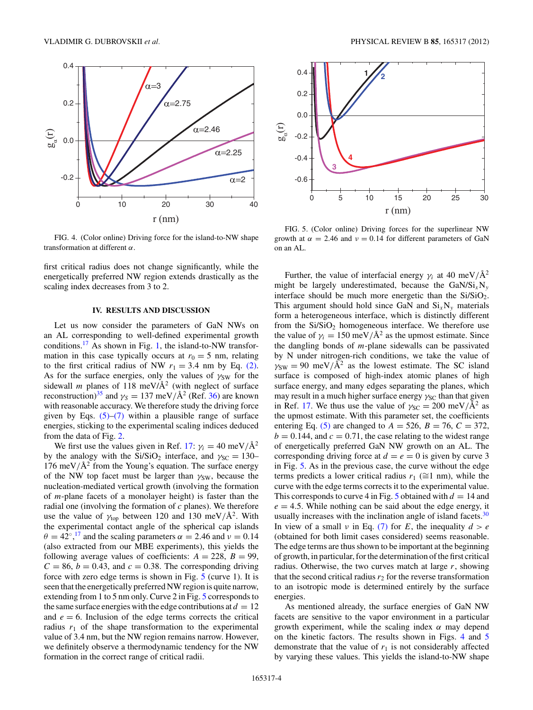<span id="page-3-0"></span>

FIG. 4. (Color online) Driving force for the island-to-NW shape transformation at different *α*.

first critical radius does not change significantly, while the energetically preferred NW region extends drastically as the scaling index decreases from 3 to 2.

# **IV. RESULTS AND DISCUSSION**

Let us now consider the parameters of GaN NWs on an AL corresponding to well-defined experimental growth conditions.<sup>17</sup> As shown in Fig. [1,](#page-1-0) the island-to-NW transformation in this case typically occurs at  $r_0 = 5$  nm, relating to the first critical radius of NW  $r_1 = 3.4$  nm by Eq. [\(2\).](#page-2-0) As for the surface energies, only the values of  $\gamma_{SW}$  for the sidewall *m* planes of 118 meV/ $A^2$  (with neglect of surface reconstruction)<sup>35</sup> and  $\gamma_s = 137$  meV/ $\AA^2$  (Ref. [36\)](#page-5-0) are known with reasonable accuracy. We therefore study the driving force given by Eqs.  $(5)$ – $(7)$  within a plausible range of surface energies, sticking to the experimental scaling indices deduced from the data of Fig. [2.](#page-1-0)

We first use the values given in Ref. [17:](#page-4-0)  $\gamma_i = 40 \text{ meV/A}^2$ by the analogy with the Si/SiO<sub>2</sub> interface, and  $\gamma_{SC} = 130-$ 176 meV/ $\mathring{A}^2$  from the Young's equation. The surface energy of the NW top facet must be larger than *γ*<sub>SW</sub>, because the nucleation-mediated vertical growth (involving the formation of *m*-plane facets of a monolayer height) is faster than the radial one (involving the formation of *c* planes). We therefore use the value of  $\gamma_{top}$  between 120 and 130 meV/Å<sup>2</sup>. With the experimental contact angle of the spherical cap islands  $\theta = 42^{\circ}, ^{17}$  $\theta = 42^{\circ}, ^{17}$  $\theta = 42^{\circ}, ^{17}$  and the scaling parameters  $\alpha = 2.46$  and  $\nu = 0.14$ (also extracted from our MBE experiments), this yields the following average values of coefficients:  $A = 228$ ,  $B = 99$ ,  $C = 86$ ,  $b = 0.43$ , and  $c = 0.38$ . The corresponding driving force with zero edge terms is shown in Fig. 5 (curve 1). It is seen that the energetically preferred NW region is quite narrow, extending from 1 to 5 nm only. Curve 2 in Fig. 5 corresponds to the same surface energies with the edge contributions at  $d = 12$ and  $e = 6$ . Inclusion of the edge terms corrects the critical radius  $r_1$  of the shape transformation to the experimental value of 3.4 nm, but the NW region remains narrow. However, we definitely observe a thermodynamic tendency for the NW formation in the correct range of critical radii.



FIG. 5. (Color online) Driving forces for the superlinear NW growth at  $\alpha = 2.46$  and  $\nu = 0.14$  for different parameters of GaN on an AL.

Further, the value of interfacial energy  $\gamma_i$  at 40 meV/ $\AA^2$ might be largely underestimated, because the  $\text{GaN/Si}_{x}N_{y}$ interface should be much more energetic than the  $Si/SiO<sub>2</sub>$ . This argument should hold since GaN and  $Si<sub>x</sub>N<sub>y</sub>$  materials form a heterogeneous interface, which is distinctly different from the  $Si/SiO<sub>2</sub>$  homogeneous interface. We therefore use the value of  $\gamma_i = 150 \text{ meV}/\text{Å}^2$  as the upmost estimate. Since the dangling bonds of *m*-plane sidewalls can be passivated by N under nitrogen-rich conditions, we take the value of  $\gamma_{SW} = 90$  meV/ $\AA^2$  as the lowest estimate. The SC island surface is composed of high-index atomic planes of high surface energy, and many edges separating the planes, which may result in a much higher surface energy *γ*<sub>SC</sub> than that given in Ref. [17.](#page-4-0) We thus use the value of  $\gamma_{SC} = 200 \text{ meV}/\text{\AA}^2$  as the upmost estimate. With this parameter set, the coefficients entering Eq. [\(5\)](#page-2-0) are changed to  $A = 526$ ,  $B = 76$ ,  $C = 372$ ,  $b = 0.144$ , and  $c = 0.71$ , the case relating to the widest range of energetically preferred GaN NW growth on an AL. The corresponding driving force at  $d = e = 0$  is given by curve 3 in Fig. 5. As in the previous case, the curve without the edge terms predicts a lower critical radius  $r_1$  ( $\cong$ 1 nm), while the curve with the edge terms corrects it to the experimental value. This corresponds to curve 4 in Fig. 5 obtained with  $d = 14$  and  $e = 4.5$ . While nothing can be said about the edge energy, it usually increases with the inclination angle of island facets.<sup>30</sup> In view of a small  $\nu$  in Eq. [\(7\)](#page-2-0) for *E*, the inequality  $d > e$ (obtained for both limit cases considered) seems reasonable. The edge terms are thus shown to be important at the beginning of growth, in particular, for the determination of the first critical radius. Otherwise, the two curves match at large *r*, showing that the second critical radius  $r_2$  for the reverse transformation to an isotropic mode is determined entirely by the surface energies.

As mentioned already, the surface energies of GaN NW facets are sensitive to the vapor environment in a particular growth experiment, while the scaling index *α* may depend on the kinetic factors. The results shown in Figs. 4 and 5 demonstrate that the value of  $r_1$  is not considerably affected by varying these values. This yields the island-to-NW shape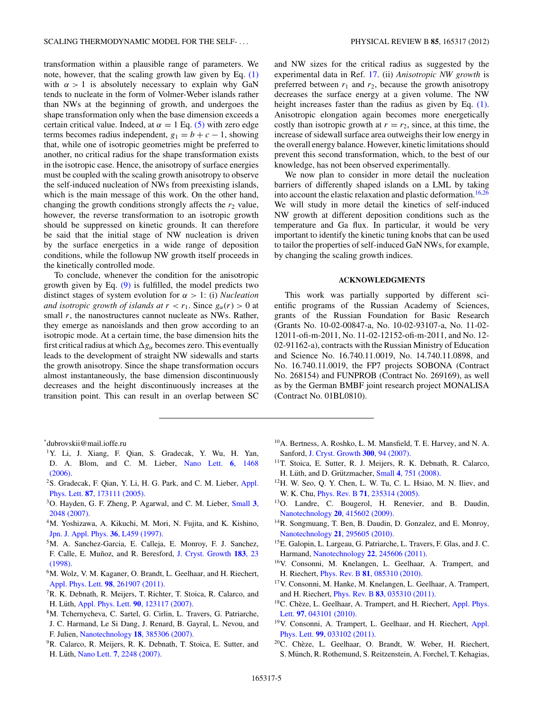<span id="page-4-0"></span>transformation within a plausible range of parameters. We note, however, that the scaling growth law given by Eq. [\(1\)](#page-1-0) with  $\alpha > 1$  is absolutely necessary to explain why GaN tends to nucleate in the form of Volmer-Weber islands rather than NWs at the beginning of growth, and undergoes the shape transformation only when the base dimension exceeds a certain critical value. Indeed, at  $\alpha = 1$  Eq. [\(5\)](#page-2-0) with zero edge terms becomes radius independent,  $g_1 = b + c - 1$ , showing that, while one of isotropic geometries might be preferred to another, no critical radius for the shape transformation exists in the isotropic case. Hence, the anisotropy of surface energies must be coupled with the scaling growth anisotropy to observe the self-induced nucleation of NWs from preexisting islands, which is the main message of this work. On the other hand, changing the growth conditions strongly affects the  $r_2$  value, however, the reverse transformation to an isotropic growth should be suppressed on kinetic grounds. It can therefore be said that the initial stage of NW nucleation is driven by the surface energetics in a wide range of deposition conditions, while the followup NW growth itself proceeds in the kinetically controlled mode.

To conclude, whenever the condition for the anisotropic growth given by Eq.  $(9)$  is fulfilled, the model predicts two distinct stages of system evolution for *α >* 1: (i) *Nucleation and isotropic growth of islands at*  $r < r_1$ . Since  $g_\alpha(r) > 0$  at small *r*, the nanostructures cannot nucleate as NWs. Rather, they emerge as nanoislands and then grow according to an isotropic mode. At a certain time, the base dimension hits the first critical radius at which  $\Delta g_\alpha$  becomes zero. This eventually leads to the development of straight NW sidewalls and starts the growth anisotropy. Since the shape transformation occurs almost instantaneously, the base dimension discontinuously decreases and the height discontinuously increases at the transition point. This can result in an overlap between SC and NW sizes for the critical radius as suggested by the experimental data in Ref. 17. (ii) *Anisotropic NW growth* is preferred between  $r_1$  and  $r_2$ , because the growth anisotropy decreases the surface energy at a given volume. The NW height increases faster than the radius as given by Eq. [\(1\).](#page-1-0) Anisotropic elongation again becomes more energetically costly than isotropic growth at  $r = r_2$ , since, at this time, the increase of sidewall surface area outweighs their low energy in the overall energy balance. However, kinetic limitations should prevent this second transformation, which, to the best of our knowledge, has not been observed experimentally.

We now plan to consider in more detail the nucleation barriers of differently shaped islands on a LML by taking into account the elastic relaxation and plastic deformation.<sup>16[,26](#page-5-0)</sup> We will study in more detail the kinetics of self-induced NW growth at different deposition conditions such as the temperature and Ga flux. In particular, it would be very important to identify the kinetic tuning knobs that can be used to tailor the properties of self-induced GaN NWs, for example, by changing the scaling growth indices.

# **ACKNOWLEDGMENTS**

This work was partially supported by different scientific programs of the Russian Academy of Sciences, grants of the Russian Foundation for Basic Research (Grants No. 10-02-00847-a, No. 10-02-93107-a, No. 11-02- 12011-ofi-m-2011, No. 11-02-12152-ofi-m-2011, and No. 12- 02-91162-a), contracts with the Russian Ministry of Education and Science No. 16.740.11.0019, No. 14.740.11.0898, and No. 16.740.11.0019, the FP7 projects SOBONA (Contract No. 268154) and FUNPROB (Contract No. 269169), as well as by the German BMBF joint research project MONALISA (Contract No. 01BL0810).

\* dubrovskii@mail.ioffe.ru

- 1Y. Li, J. Xiang, F. Qian, S. Gradecak, Y. Wu, H. Yan, D. A. Blom, and C. M. Lieber, [Nano Lett.](http://dx.doi.org/10.1021/nl060849z) **6**, 1468 [\(2006\).](http://dx.doi.org/10.1021/nl060849z)
- <sup>2</sup>S. Gradecak, F. Qian, Y. Li, H. G. Park, and C. M. Lieber, [Appl.](http://dx.doi.org/10.1063/1.2115087) Phys. Lett. **87**[, 173111 \(2005\).](http://dx.doi.org/10.1063/1.2115087)
- 3O. Hayden, G. F. Zheng, P. Agarwal, and C. M. Lieber, [Small](http://dx.doi.org/10.1002/smll.200700600) **3**, [2048 \(2007\).](http://dx.doi.org/10.1002/smll.200700600)
- <sup>4</sup>M. Yoshizawa, A. Kikuchi, M. Mori, N. Fujita, and K. Kishino, [Jpn. J. Appl. Phys.](http://dx.doi.org/10.1143/JJAP.36.L459) **36**, L459 (1997).
- 5M. A. Sanchez-Garcia, E. Calleja, E. Monroy, F. J. Sanchez, F. Calle, E. Munoz, and R. Beresford, ˜ [J. Cryst. Growth](http://dx.doi.org/10.1016/S0022-0248(97)00386-2) **183**, 23 [\(1998\).](http://dx.doi.org/10.1016/S0022-0248(97)00386-2)
- <sup>6</sup>M. Wolz, V. M. Kaganer, O. Brandt, L. Geelhaar, and H. Riechert, [Appl. Phys. Lett.](http://dx.doi.org/10.1063/1.3604810) **98**, 261907 (2011).
- 7R. K. Debnath, R. Meijers, T. Richter, T. Stoica, R. Calarco, and H. Lüth, [Appl. Phys. Lett.](http://dx.doi.org/10.1063/1.2715119) **90**, 123117 (2007).
- 8M. Tchernycheva, C. Sartel, G. Cirlin, L. Travers, G. Patriarche, J. C. Harmand, Le Si Dang, J. Renard, B. Gayral, L. Nevou, and F. Julien, Nanotechnology **18**[, 385306 \(2007\).](http://dx.doi.org/10.1088/0957-4484/18/38/385306)
- <sup>9</sup>R. Calarco, R. Meijers, R. K. Debnath, T. Stoica, E. Sutter, and H. Lüth, Nano Lett. 7[, 2248 \(2007\).](http://dx.doi.org/10.1021/nl0707398)
- 10A. Bertness, A. Roshko, L. M. Mansfield, T. E. Harvey, and N. A. Sanford, [J. Cryst. Growth](http://dx.doi.org/10.1016/j.jcrysgro.2006.10.209) **300**, 94 (2007).
- <sup>11</sup>T. Stoica, E. Sutter, R. J. Meijers, R. K. Debnath, R. Calarco, H. Lüth, and D. Grützmacher, Small 4[, 751 \(2008\).](http://dx.doi.org/10.1002/smll.200700936)
- 12H. W. Seo, Q. Y. Chen, L. W. Tu, C. L. Hsiao, M. N. Iliev, and W. K. Chu, Phys. Rev. B **71**[, 235314 \(2005\).](http://dx.doi.org/10.1103/PhysRevB.71.235314)
- 13O. Landre, C. Bougerol, H. Renevier, and B. Daudin, Nanotechnology **20**[, 415602 \(2009\).](http://dx.doi.org/10.1088/0957-4484/20/41/415602)
- <sup>14</sup>R. Songmuang, T. Ben, B. Daudin, D. Gonzalez, and E. Monroy, Nanotechnology **21**[, 295605 \(2010\).](http://dx.doi.org/10.1088/0957-4484/21/29/295605)
- 15E. Galopin, L. Largeau, G. Patriarche, L. Travers, F. Glas, and J. C. Harmand, Nanotechnology **22**[, 245606 \(2011\).](http://dx.doi.org/10.1088/0957-4484/22/24/245606)
- 16V. Consonni, M. Knelangen, L. Geelhaar, A. Trampert, and H. Riechert, Phys. Rev. B **81**[, 085310 \(2010\).](http://dx.doi.org/10.1103/PhysRevB.81.085310)
- 17V. Consonni, M. Hanke, M. Knelangen, L. Geelhaar, A. Trampert, and H. Riechert, Phys. Rev. B **83**[, 035310 \(2011\).](http://dx.doi.org/10.1103/PhysRevB.83.035310)
- <sup>18</sup>C. Chèze, L. Geelhaar, A. Trampert, and H. Riechert, [Appl. Phys.](http://dx.doi.org/10.1063/1.3464956) Lett. **97**[, 043101 \(2010\).](http://dx.doi.org/10.1063/1.3464956)
- <sup>19</sup>V. Consonni, A. Trampert, L. Geelhaar, and H. Riechert, [Appl.](http://dx.doi.org/10.1063/1.3610964) Phys. Lett. **99**[, 033102 \(2011\).](http://dx.doi.org/10.1063/1.3610964)
- $20$ C. Chèze, L. Geelhaar, O. Brandt, W. Weber, H. Riechert, S. Münch, R. Rothemund, S. Reitzenstein, A. Forchel, T. Kehagias,